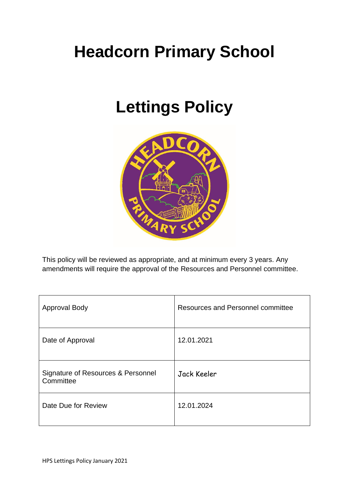# **Headcorn Primary School**

## **Lettings Policy**



This policy will be reviewed as appropriate, and at minimum every 3 years. Any amendments will require the approval of the Resources and Personnel committee.

| <b>Approval Body</b>                            | Resources and Personnel committee |
|-------------------------------------------------|-----------------------------------|
| Date of Approval                                | 12.01.2021                        |
| Signature of Resources & Personnel<br>Committee | Jack Keeler                       |
| Date Due for Review                             | 12.01.2024                        |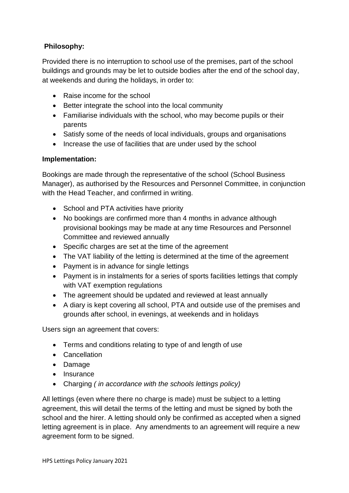## **Philosophy:**

Provided there is no interruption to school use of the premises, part of the school buildings and grounds may be let to outside bodies after the end of the school day, at weekends and during the holidays, in order to:

- Raise income for the school
- Better integrate the school into the local community
- Familiarise individuals with the school, who may become pupils or their parents
- Satisfy some of the needs of local individuals, groups and organisations
- Increase the use of facilities that are under used by the school

### **Implementation:**

Bookings are made through the representative of the school (School Business Manager), as authorised by the Resources and Personnel Committee, in conjunction with the Head Teacher, and confirmed in writing.

- School and PTA activities have priority
- No bookings are confirmed more than 4 months in advance although provisional bookings may be made at any time Resources and Personnel Committee and reviewed annually
- Specific charges are set at the time of the agreement
- The VAT liability of the letting is determined at the time of the agreement
- Payment is in advance for single lettings
- Payment is in instalments for a series of sports facilities lettings that comply with VAT exemption regulations
- The agreement should be updated and reviewed at least annually
- A diary is kept covering all school, PTA and outside use of the premises and grounds after school, in evenings, at weekends and in holidays

Users sign an agreement that covers:

- Terms and conditions relating to type of and length of use
- Cancellation
- Damage
- Insurance
- Charging *( in accordance with the schools lettings policy)*

All lettings (even where there no charge is made) must be subject to a letting agreement, this will detail the terms of the letting and must be signed by both the school and the hirer. A letting should only be confirmed as accepted when a signed letting agreement is in place. Any amendments to an agreement will require a new agreement form to be signed.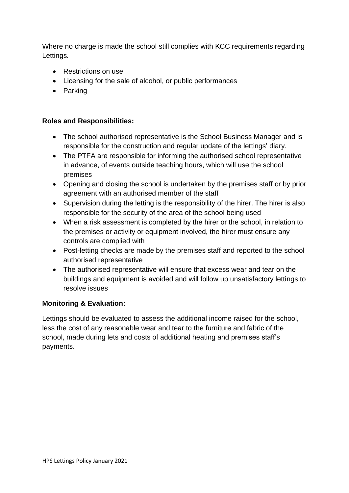Where no charge is made the school still complies with KCC requirements regarding Lettings*.* 

- Restrictions on use
- Licensing for the sale of alcohol, or public performances
- Parking

#### **Roles and Responsibilities:**

- The school authorised representative is the School Business Manager and is responsible for the construction and regular update of the lettings' diary.
- The PTFA are responsible for informing the authorised school representative in advance, of events outside teaching hours, which will use the school premises
- Opening and closing the school is undertaken by the premises staff or by prior agreement with an authorised member of the staff
- Supervision during the letting is the responsibility of the hirer. The hirer is also responsible for the security of the area of the school being used
- When a risk assessment is completed by the hirer or the school, in relation to the premises or activity or equipment involved, the hirer must ensure any controls are complied with
- Post-letting checks are made by the premises staff and reported to the school authorised representative
- The authorised representative will ensure that excess wear and tear on the buildings and equipment is avoided and will follow up unsatisfactory lettings to resolve issues

### **Monitoring & Evaluation:**

Lettings should be evaluated to assess the additional income raised for the school, less the cost of any reasonable wear and tear to the furniture and fabric of the school, made during lets and costs of additional heating and premises staff's payments.